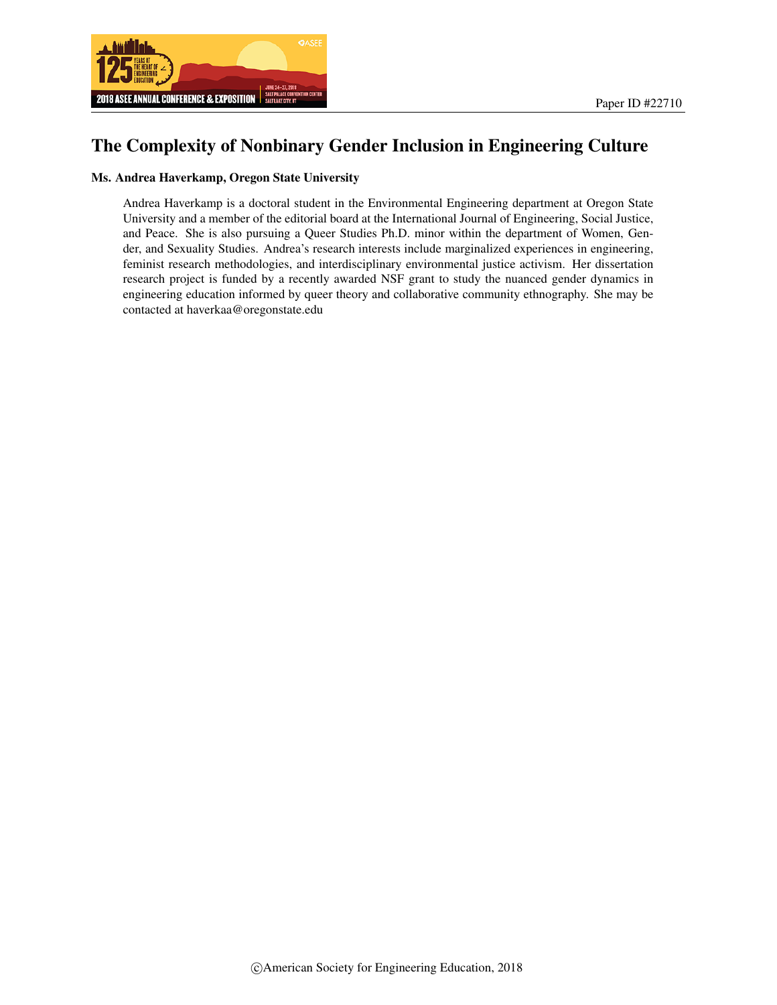

# The Complexity of Nonbinary Gender Inclusion in Engineering Culture

#### Ms. Andrea Haverkamp, Oregon State University

Andrea Haverkamp is a doctoral student in the Environmental Engineering department at Oregon State University and a member of the editorial board at the International Journal of Engineering, Social Justice, and Peace. She is also pursuing a Queer Studies Ph.D. minor within the department of Women, Gender, and Sexuality Studies. Andrea's research interests include marginalized experiences in engineering, feminist research methodologies, and interdisciplinary environmental justice activism. Her dissertation research project is funded by a recently awarded NSF grant to study the nuanced gender dynamics in engineering education informed by queer theory and collaborative community ethnography. She may be contacted at haverkaa@oregonstate.edu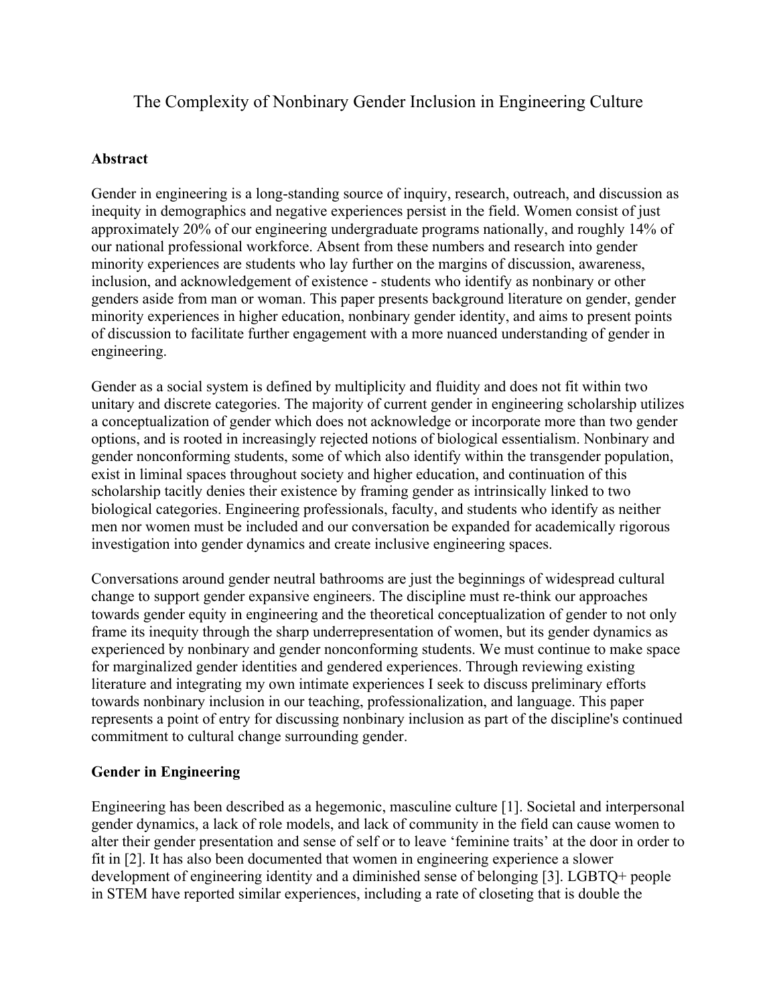The Complexity of Nonbinary Gender Inclusion in Engineering Culture

# **Abstract**

Gender in engineering is a long-standing source of inquiry, research, outreach, and discussion as inequity in demographics and negative experiences persist in the field. Women consist of just approximately 20% of our engineering undergraduate programs nationally, and roughly 14% of our national professional workforce. Absent from these numbers and research into gender minority experiences are students who lay further on the margins of discussion, awareness, inclusion, and acknowledgement of existence - students who identify as nonbinary or other genders aside from man or woman. This paper presents background literature on gender, gender minority experiences in higher education, nonbinary gender identity, and aims to present points of discussion to facilitate further engagement with a more nuanced understanding of gender in engineering.

Gender as a social system is defined by multiplicity and fluidity and does not fit within two unitary and discrete categories. The majority of current gender in engineering scholarship utilizes a conceptualization of gender which does not acknowledge or incorporate more than two gender options, and is rooted in increasingly rejected notions of biological essentialism. Nonbinary and gender nonconforming students, some of which also identify within the transgender population, exist in liminal spaces throughout society and higher education, and continuation of this scholarship tacitly denies their existence by framing gender as intrinsically linked to two biological categories. Engineering professionals, faculty, and students who identify as neither men nor women must be included and our conversation be expanded for academically rigorous investigation into gender dynamics and create inclusive engineering spaces.

Conversations around gender neutral bathrooms are just the beginnings of widespread cultural change to support gender expansive engineers. The discipline must re-think our approaches towards gender equity in engineering and the theoretical conceptualization of gender to not only frame its inequity through the sharp underrepresentation of women, but its gender dynamics as experienced by nonbinary and gender nonconforming students. We must continue to make space for marginalized gender identities and gendered experiences. Through reviewing existing literature and integrating my own intimate experiences I seek to discuss preliminary efforts towards nonbinary inclusion in our teaching, professionalization, and language. This paper represents a point of entry for discussing nonbinary inclusion as part of the discipline's continued commitment to cultural change surrounding gender.

# **Gender in Engineering**

Engineering has been described as a hegemonic, masculine culture [1]. Societal and interpersonal gender dynamics, a lack of role models, and lack of community in the field can cause women to alter their gender presentation and sense of self or to leave 'feminine traits' at the door in order to fit in [2]. It has also been documented that women in engineering experience a slower development of engineering identity and a diminished sense of belonging [3]. LGBTQ+ people in STEM have reported similar experiences, including a rate of closeting that is double the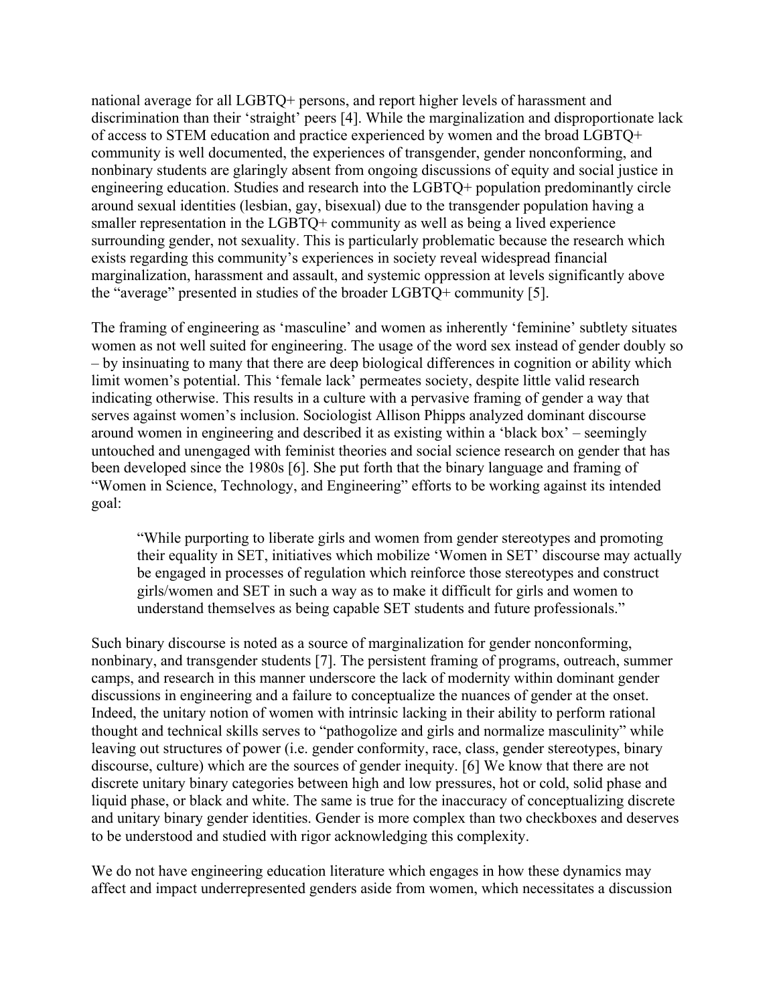national average for all LGBTQ+ persons, and report higher levels of harassment and discrimination than their 'straight' peers [4]. While the marginalization and disproportionate lack of access to STEM education and practice experienced by women and the broad LGBTQ+ community is well documented, the experiences of transgender, gender nonconforming, and nonbinary students are glaringly absent from ongoing discussions of equity and social justice in engineering education. Studies and research into the LGBTQ+ population predominantly circle around sexual identities (lesbian, gay, bisexual) due to the transgender population having a smaller representation in the LGBTQ+ community as well as being a lived experience surrounding gender, not sexuality. This is particularly problematic because the research which exists regarding this community's experiences in society reveal widespread financial marginalization, harassment and assault, and systemic oppression at levels significantly above the "average" presented in studies of the broader LGBTQ+ community [5].

The framing of engineering as 'masculine' and women as inherently 'feminine' subtlety situates women as not well suited for engineering. The usage of the word sex instead of gender doubly so – by insinuating to many that there are deep biological differences in cognition or ability which limit women's potential. This 'female lack' permeates society, despite little valid research indicating otherwise. This results in a culture with a pervasive framing of gender a way that serves against women's inclusion. Sociologist Allison Phipps analyzed dominant discourse around women in engineering and described it as existing within a 'black box' – seemingly untouched and unengaged with feminist theories and social science research on gender that has been developed since the 1980s [6]. She put forth that the binary language and framing of "Women in Science, Technology, and Engineering" efforts to be working against its intended goal:

"While purporting to liberate girls and women from gender stereotypes and promoting their equality in SET, initiatives which mobilize 'Women in SET' discourse may actually be engaged in processes of regulation which reinforce those stereotypes and construct girls/women and SET in such a way as to make it difficult for girls and women to understand themselves as being capable SET students and future professionals."

Such binary discourse is noted as a source of marginalization for gender nonconforming, nonbinary, and transgender students [7]. The persistent framing of programs, outreach, summer camps, and research in this manner underscore the lack of modernity within dominant gender discussions in engineering and a failure to conceptualize the nuances of gender at the onset. Indeed, the unitary notion of women with intrinsic lacking in their ability to perform rational thought and technical skills serves to "pathogolize and girls and normalize masculinity" while leaving out structures of power (i.e. gender conformity, race, class, gender stereotypes, binary discourse, culture) which are the sources of gender inequity. [6] We know that there are not discrete unitary binary categories between high and low pressures, hot or cold, solid phase and liquid phase, or black and white. The same is true for the inaccuracy of conceptualizing discrete and unitary binary gender identities. Gender is more complex than two checkboxes and deserves to be understood and studied with rigor acknowledging this complexity.

We do not have engineering education literature which engages in how these dynamics may affect and impact underrepresented genders aside from women, which necessitates a discussion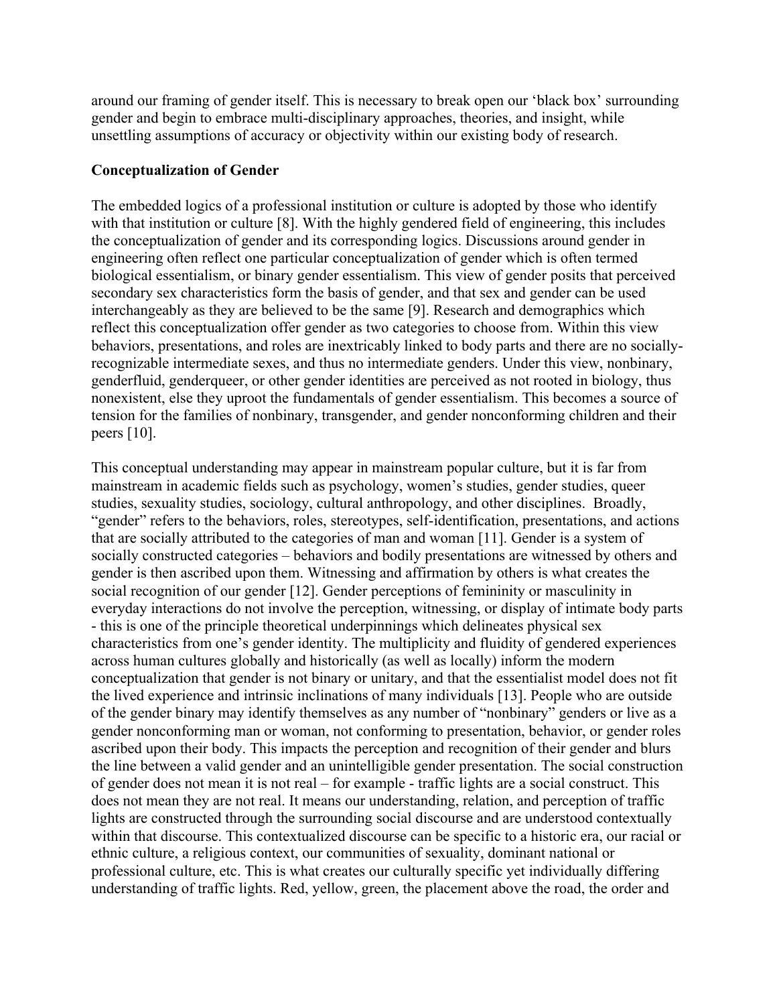around our framing of gender itself. This is necessary to break open our 'black box' surrounding gender and begin to embrace multi-disciplinary approaches, theories, and insight, while unsettling assumptions of accuracy or objectivity within our existing body of research.

#### **Conceptualization of Gender**

The embedded logics of a professional institution or culture is adopted by those who identify with that institution or culture [8]. With the highly gendered field of engineering, this includes the conceptualization of gender and its corresponding logics. Discussions around gender in engineering often reflect one particular conceptualization of gender which is often termed biological essentialism, or binary gender essentialism. This view of gender posits that perceived secondary sex characteristics form the basis of gender, and that sex and gender can be used interchangeably as they are believed to be the same [9]. Research and demographics which reflect this conceptualization offer gender as two categories to choose from. Within this view behaviors, presentations, and roles are inextricably linked to body parts and there are no sociallyrecognizable intermediate sexes, and thus no intermediate genders. Under this view, nonbinary, genderfluid, genderqueer, or other gender identities are perceived as not rooted in biology, thus nonexistent, else they uproot the fundamentals of gender essentialism. This becomes a source of tension for the families of nonbinary, transgender, and gender nonconforming children and their peers [10].

This conceptual understanding may appear in mainstream popular culture, but it is far from mainstream in academic fields such as psychology, women's studies, gender studies, queer studies, sexuality studies, sociology, cultural anthropology, and other disciplines. Broadly, "gender" refers to the behaviors, roles, stereotypes, self-identification, presentations, and actions that are socially attributed to the categories of man and woman [11]. Gender is a system of socially constructed categories – behaviors and bodily presentations are witnessed by others and gender is then ascribed upon them. Witnessing and affirmation by others is what creates the social recognition of our gender [12]. Gender perceptions of femininity or masculinity in everyday interactions do not involve the perception, witnessing, or display of intimate body parts - this is one of the principle theoretical underpinnings which delineates physical sex characteristics from one's gender identity. The multiplicity and fluidity of gendered experiences across human cultures globally and historically (as well as locally) inform the modern conceptualization that gender is not binary or unitary, and that the essentialist model does not fit the lived experience and intrinsic inclinations of many individuals [13]. People who are outside of the gender binary may identify themselves as any number of "nonbinary" genders or live as a gender nonconforming man or woman, not conforming to presentation, behavior, or gender roles ascribed upon their body. This impacts the perception and recognition of their gender and blurs the line between a valid gender and an unintelligible gender presentation. The social construction of gender does not mean it is not real – for example - traffic lights are a social construct. This does not mean they are not real. It means our understanding, relation, and perception of traffic lights are constructed through the surrounding social discourse and are understood contextually within that discourse. This contextualized discourse can be specific to a historic era, our racial or ethnic culture, a religious context, our communities of sexuality, dominant national or professional culture, etc. This is what creates our culturally specific yet individually differing understanding of traffic lights. Red, yellow, green, the placement above the road, the order and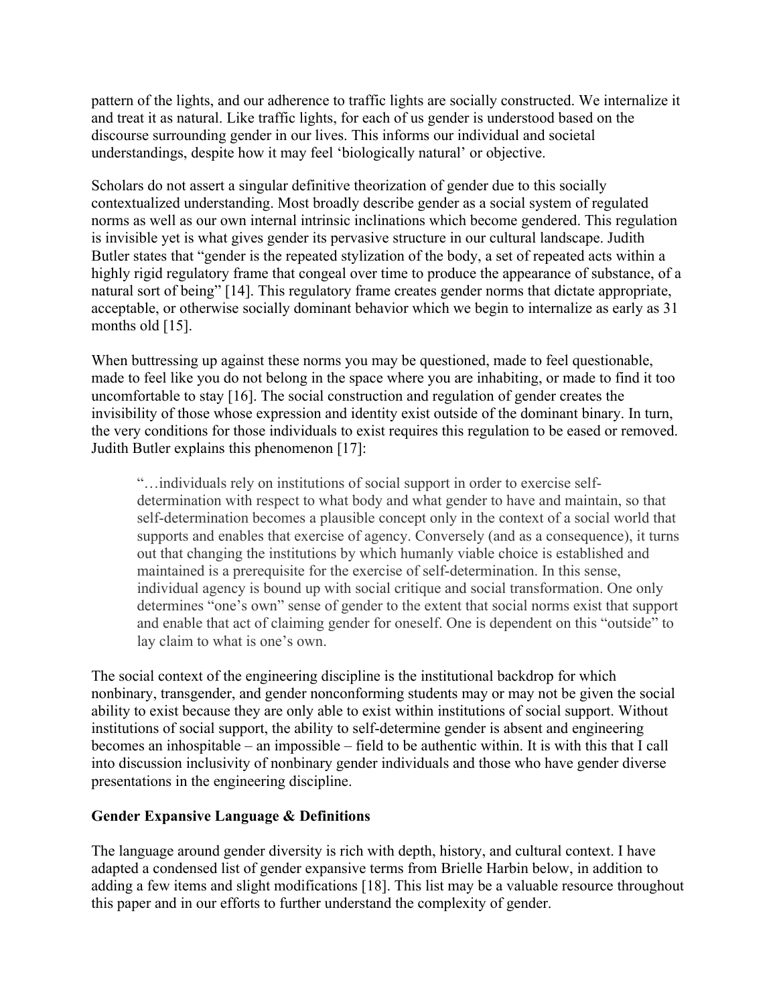pattern of the lights, and our adherence to traffic lights are socially constructed. We internalize it and treat it as natural. Like traffic lights, for each of us gender is understood based on the discourse surrounding gender in our lives. This informs our individual and societal understandings, despite how it may feel 'biologically natural' or objective.

Scholars do not assert a singular definitive theorization of gender due to this socially contextualized understanding. Most broadly describe gender as a social system of regulated norms as well as our own internal intrinsic inclinations which become gendered. This regulation is invisible yet is what gives gender its pervasive structure in our cultural landscape. Judith Butler states that "gender is the repeated stylization of the body, a set of repeated acts within a highly rigid regulatory frame that congeal over time to produce the appearance of substance, of a natural sort of being" [14]. This regulatory frame creates gender norms that dictate appropriate, acceptable, or otherwise socially dominant behavior which we begin to internalize as early as 31 months old [15].

When buttressing up against these norms you may be questioned, made to feel questionable, made to feel like you do not belong in the space where you are inhabiting, or made to find it too uncomfortable to stay [16]. The social construction and regulation of gender creates the invisibility of those whose expression and identity exist outside of the dominant binary. In turn, the very conditions for those individuals to exist requires this regulation to be eased or removed. Judith Butler explains this phenomenon [17]:

"…individuals rely on institutions of social support in order to exercise selfdetermination with respect to what body and what gender to have and maintain, so that self-determination becomes a plausible concept only in the context of a social world that supports and enables that exercise of agency. Conversely (and as a consequence), it turns out that changing the institutions by which humanly viable choice is established and maintained is a prerequisite for the exercise of self-determination. In this sense, individual agency is bound up with social critique and social transformation. One only determines "one's own" sense of gender to the extent that social norms exist that support and enable that act of claiming gender for oneself. One is dependent on this "outside" to lay claim to what is one's own.

The social context of the engineering discipline is the institutional backdrop for which nonbinary, transgender, and gender nonconforming students may or may not be given the social ability to exist because they are only able to exist within institutions of social support. Without institutions of social support, the ability to self-determine gender is absent and engineering becomes an inhospitable – an impossible – field to be authentic within. It is with this that I call into discussion inclusivity of nonbinary gender individuals and those who have gender diverse presentations in the engineering discipline.

# **Gender Expansive Language & Definitions**

The language around gender diversity is rich with depth, history, and cultural context. I have adapted a condensed list of gender expansive terms from Brielle Harbin below, in addition to adding a few items and slight modifications [18]. This list may be a valuable resource throughout this paper and in our efforts to further understand the complexity of gender.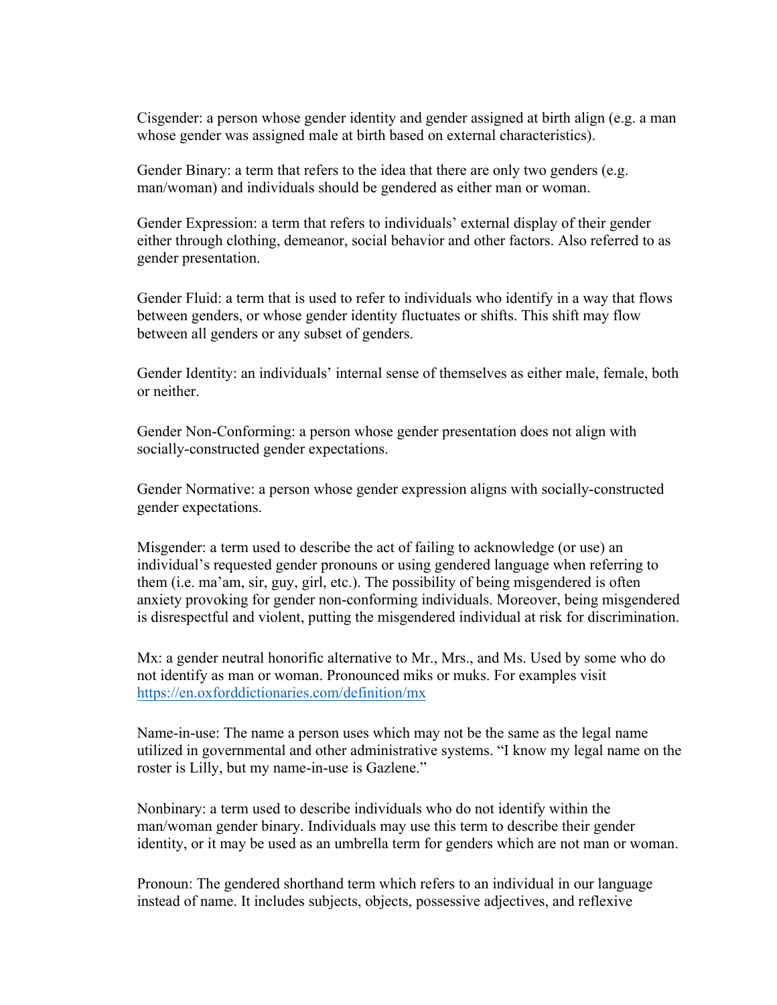Cisgender: a person whose gender identity and gender assigned at birth align (e.g. a man whose gender was assigned male at birth based on external characteristics).

Gender Binary: a term that refers to the idea that there are only two genders (e.g. man/woman) and individuals should be gendered as either man or woman.

Gender Expression: a term that refers to individuals' external display of their gender either through clothing, demeanor, social behavior and other factors. Also referred to as gender presentation.

Gender Fluid: a term that is used to refer to individuals who identify in a way that flows between genders, or whose gender identity fluctuates or shifts. This shift may flow between all genders or any subset of genders.

Gender Identity: an individuals' internal sense of themselves as either male, female, both or neither.

Gender Non-Conforming: a person whose gender presentation does not align with socially-constructed gender expectations.

Gender Normative: a person whose gender expression aligns with socially-constructed gender expectations.

Misgender: a term used to describe the act of failing to acknowledge (or use) an individual's requested gender pronouns or using gendered language when referring to them (i.e. ma'am, sir, guy, girl, etc.). The possibility of being misgendered is often anxiety provoking for gender non-conforming individuals. Moreover, being misgendered is disrespectful and violent, putting the misgendered individual at risk for discrimination.

Mx: a gender neutral honorific alternative to Mr., Mrs., and Ms. Used by some who do not identify as man or woman. Pronounced miks or muks. For examples visit https://en.oxforddictionaries.com/definition/mx

Name-in-use: The name a person uses which may not be the same as the legal name utilized in governmental and other administrative systems. "I know my legal name on the roster is Lilly, but my name-in-use is Gazlene."

Nonbinary: a term used to describe individuals who do not identify within the man/woman gender binary. Individuals may use this term to describe their gender identity, or it may be used as an umbrella term for genders which are not man or woman.

Pronoun: The gendered shorthand term which refers to an individual in our language instead of name. It includes subjects, objects, possessive adjectives, and reflexive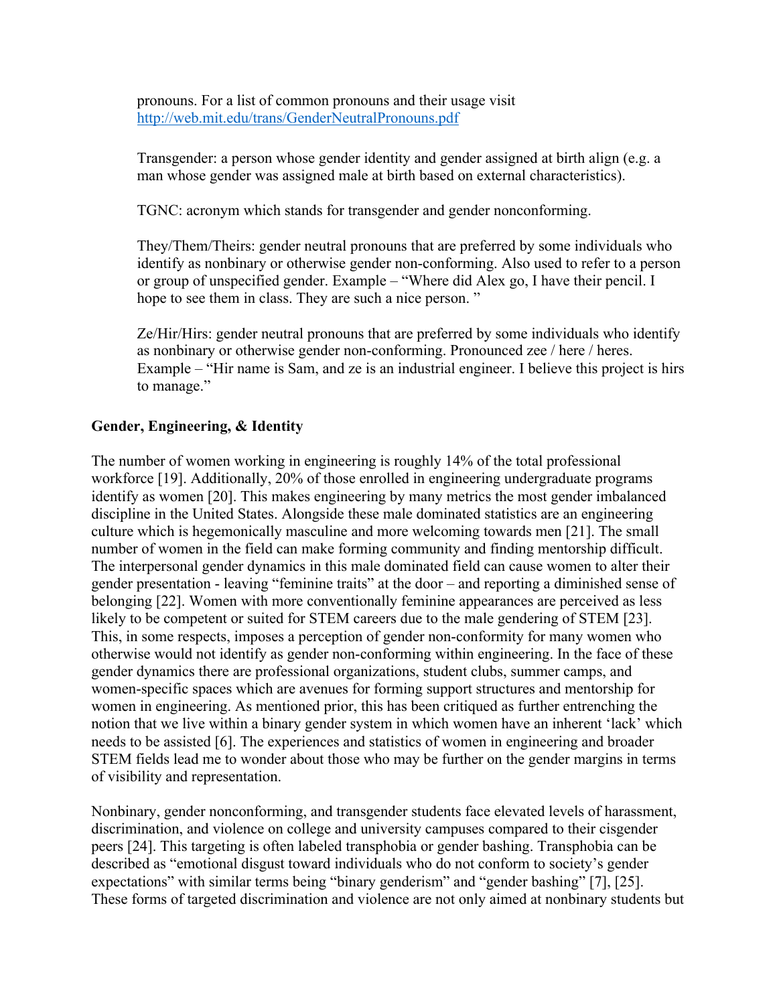pronouns. For a list of common pronouns and their usage visit http://web.mit.edu/trans/GenderNeutralPronouns.pdf

Transgender: a person whose gender identity and gender assigned at birth align (e.g. a man whose gender was assigned male at birth based on external characteristics).

TGNC: acronym which stands for transgender and gender nonconforming.

They/Them/Theirs: gender neutral pronouns that are preferred by some individuals who identify as nonbinary or otherwise gender non-conforming. Also used to refer to a person or group of unspecified gender. Example – "Where did Alex go, I have their pencil. I hope to see them in class. They are such a nice person."

Ze/Hir/Hirs: gender neutral pronouns that are preferred by some individuals who identify as nonbinary or otherwise gender non-conforming. Pronounced zee / here / heres. Example – "Hir name is Sam, and ze is an industrial engineer. I believe this project is hirs to manage."

### **Gender, Engineering, & Identity**

The number of women working in engineering is roughly 14% of the total professional workforce [19]. Additionally, 20% of those enrolled in engineering undergraduate programs identify as women [20]. This makes engineering by many metrics the most gender imbalanced discipline in the United States. Alongside these male dominated statistics are an engineering culture which is hegemonically masculine and more welcoming towards men [21]. The small number of women in the field can make forming community and finding mentorship difficult. The interpersonal gender dynamics in this male dominated field can cause women to alter their gender presentation - leaving "feminine traits" at the door – and reporting a diminished sense of belonging [22]. Women with more conventionally feminine appearances are perceived as less likely to be competent or suited for STEM careers due to the male gendering of STEM [23]. This, in some respects, imposes a perception of gender non-conformity for many women who otherwise would not identify as gender non-conforming within engineering. In the face of these gender dynamics there are professional organizations, student clubs, summer camps, and women-specific spaces which are avenues for forming support structures and mentorship for women in engineering. As mentioned prior, this has been critiqued as further entrenching the notion that we live within a binary gender system in which women have an inherent 'lack' which needs to be assisted [6]. The experiences and statistics of women in engineering and broader STEM fields lead me to wonder about those who may be further on the gender margins in terms of visibility and representation.

Nonbinary, gender nonconforming, and transgender students face elevated levels of harassment, discrimination, and violence on college and university campuses compared to their cisgender peers [24]. This targeting is often labeled transphobia or gender bashing. Transphobia can be described as "emotional disgust toward individuals who do not conform to society's gender expectations" with similar terms being "binary genderism" and "gender bashing" [7], [25]. These forms of targeted discrimination and violence are not only aimed at nonbinary students but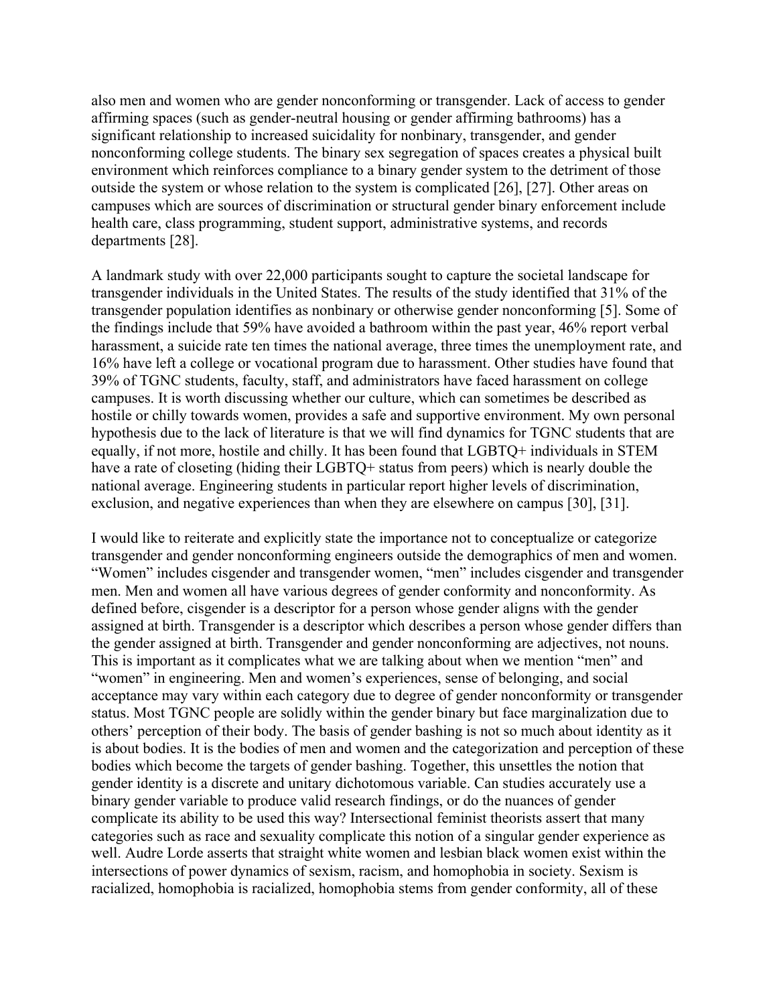also men and women who are gender nonconforming or transgender. Lack of access to gender affirming spaces (such as gender-neutral housing or gender affirming bathrooms) has a significant relationship to increased suicidality for nonbinary, transgender, and gender nonconforming college students. The binary sex segregation of spaces creates a physical built environment which reinforces compliance to a binary gender system to the detriment of those outside the system or whose relation to the system is complicated [26], [27]. Other areas on campuses which are sources of discrimination or structural gender binary enforcement include health care, class programming, student support, administrative systems, and records departments [28].

A landmark study with over 22,000 participants sought to capture the societal landscape for transgender individuals in the United States. The results of the study identified that 31% of the transgender population identifies as nonbinary or otherwise gender nonconforming [5]. Some of the findings include that 59% have avoided a bathroom within the past year, 46% report verbal harassment, a suicide rate ten times the national average, three times the unemployment rate, and 16% have left a college or vocational program due to harassment. Other studies have found that 39% of TGNC students, faculty, staff, and administrators have faced harassment on college campuses. It is worth discussing whether our culture, which can sometimes be described as hostile or chilly towards women, provides a safe and supportive environment. My own personal hypothesis due to the lack of literature is that we will find dynamics for TGNC students that are equally, if not more, hostile and chilly. It has been found that LGBTQ+ individuals in STEM have a rate of closeting (hiding their LGBTQ+ status from peers) which is nearly double the national average. Engineering students in particular report higher levels of discrimination, exclusion, and negative experiences than when they are elsewhere on campus [30], [31].

I would like to reiterate and explicitly state the importance not to conceptualize or categorize transgender and gender nonconforming engineers outside the demographics of men and women. "Women" includes cisgender and transgender women, "men" includes cisgender and transgender men. Men and women all have various degrees of gender conformity and nonconformity. As defined before, cisgender is a descriptor for a person whose gender aligns with the gender assigned at birth. Transgender is a descriptor which describes a person whose gender differs than the gender assigned at birth. Transgender and gender nonconforming are adjectives, not nouns. This is important as it complicates what we are talking about when we mention "men" and "women" in engineering. Men and women's experiences, sense of belonging, and social acceptance may vary within each category due to degree of gender nonconformity or transgender status. Most TGNC people are solidly within the gender binary but face marginalization due to others' perception of their body. The basis of gender bashing is not so much about identity as it is about bodies. It is the bodies of men and women and the categorization and perception of these bodies which become the targets of gender bashing. Together, this unsettles the notion that gender identity is a discrete and unitary dichotomous variable. Can studies accurately use a binary gender variable to produce valid research findings, or do the nuances of gender complicate its ability to be used this way? Intersectional feminist theorists assert that many categories such as race and sexuality complicate this notion of a singular gender experience as well. Audre Lorde asserts that straight white women and lesbian black women exist within the intersections of power dynamics of sexism, racism, and homophobia in society. Sexism is racialized, homophobia is racialized, homophobia stems from gender conformity, all of these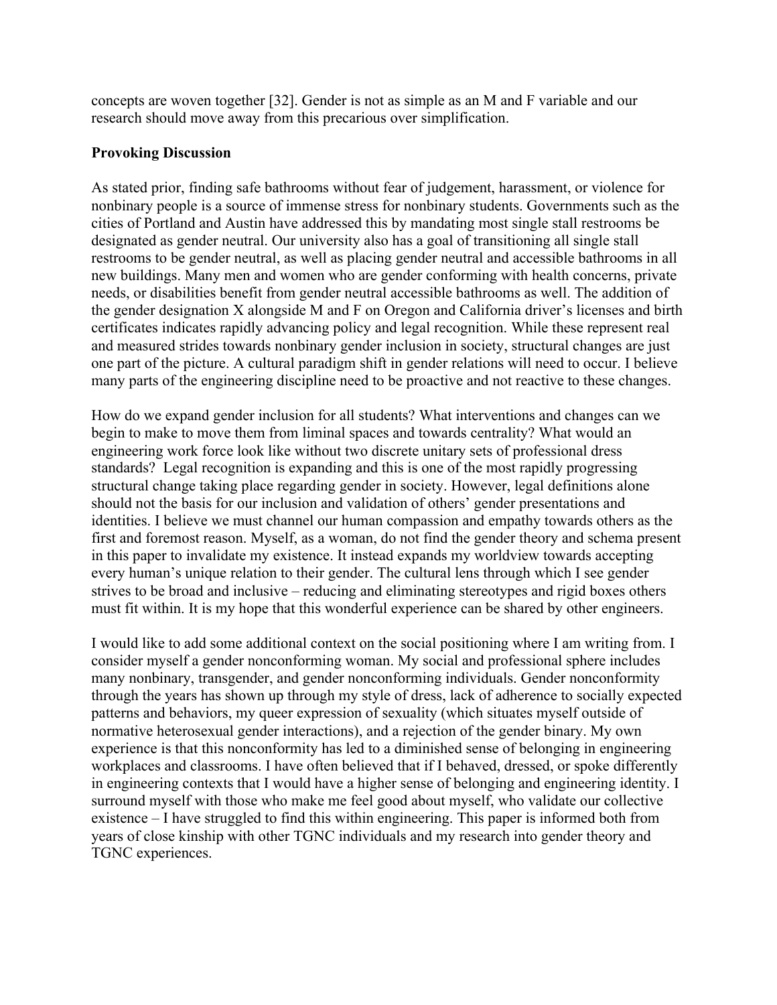concepts are woven together [32]. Gender is not as simple as an M and F variable and our research should move away from this precarious over simplification.

#### **Provoking Discussion**

As stated prior, finding safe bathrooms without fear of judgement, harassment, or violence for nonbinary people is a source of immense stress for nonbinary students. Governments such as the cities of Portland and Austin have addressed this by mandating most single stall restrooms be designated as gender neutral. Our university also has a goal of transitioning all single stall restrooms to be gender neutral, as well as placing gender neutral and accessible bathrooms in all new buildings. Many men and women who are gender conforming with health concerns, private needs, or disabilities benefit from gender neutral accessible bathrooms as well. The addition of the gender designation X alongside M and F on Oregon and California driver's licenses and birth certificates indicates rapidly advancing policy and legal recognition. While these represent real and measured strides towards nonbinary gender inclusion in society, structural changes are just one part of the picture. A cultural paradigm shift in gender relations will need to occur. I believe many parts of the engineering discipline need to be proactive and not reactive to these changes.

How do we expand gender inclusion for all students? What interventions and changes can we begin to make to move them from liminal spaces and towards centrality? What would an engineering work force look like without two discrete unitary sets of professional dress standards? Legal recognition is expanding and this is one of the most rapidly progressing structural change taking place regarding gender in society. However, legal definitions alone should not the basis for our inclusion and validation of others' gender presentations and identities. I believe we must channel our human compassion and empathy towards others as the first and foremost reason. Myself, as a woman, do not find the gender theory and schema present in this paper to invalidate my existence. It instead expands my worldview towards accepting every human's unique relation to their gender. The cultural lens through which I see gender strives to be broad and inclusive – reducing and eliminating stereotypes and rigid boxes others must fit within. It is my hope that this wonderful experience can be shared by other engineers.

I would like to add some additional context on the social positioning where I am writing from. I consider myself a gender nonconforming woman. My social and professional sphere includes many nonbinary, transgender, and gender nonconforming individuals. Gender nonconformity through the years has shown up through my style of dress, lack of adherence to socially expected patterns and behaviors, my queer expression of sexuality (which situates myself outside of normative heterosexual gender interactions), and a rejection of the gender binary. My own experience is that this nonconformity has led to a diminished sense of belonging in engineering workplaces and classrooms. I have often believed that if I behaved, dressed, or spoke differently in engineering contexts that I would have a higher sense of belonging and engineering identity. I surround myself with those who make me feel good about myself, who validate our collective existence – I have struggled to find this within engineering. This paper is informed both from years of close kinship with other TGNC individuals and my research into gender theory and TGNC experiences.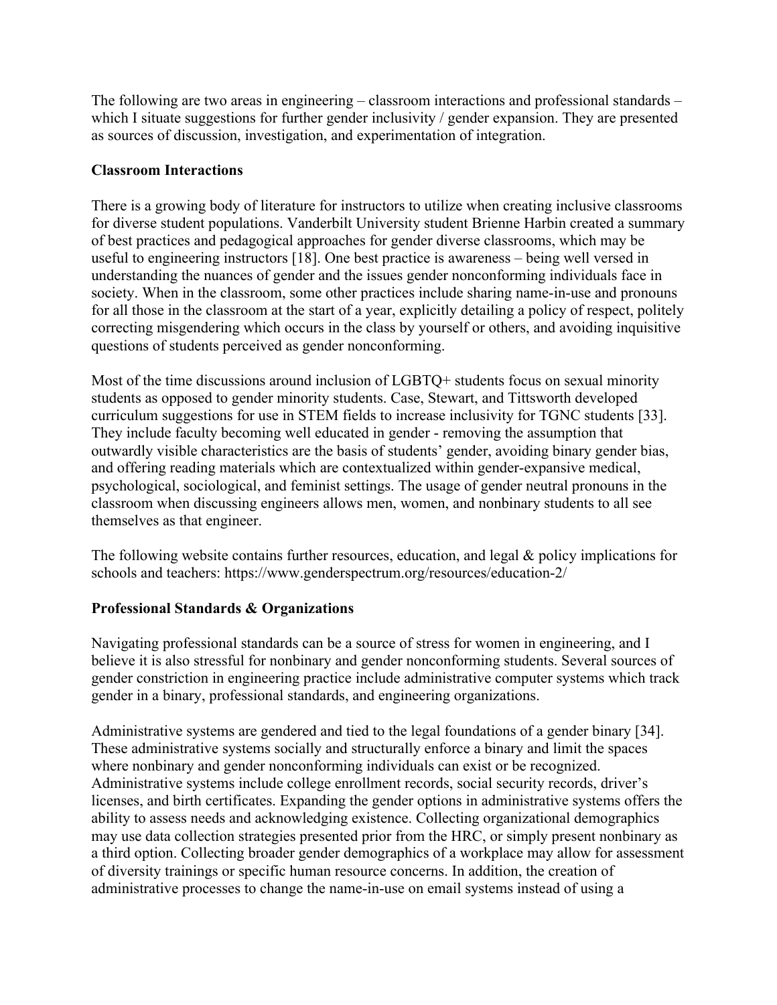The following are two areas in engineering – classroom interactions and professional standards – which I situate suggestions for further gender inclusivity / gender expansion. They are presented as sources of discussion, investigation, and experimentation of integration.

## **Classroom Interactions**

There is a growing body of literature for instructors to utilize when creating inclusive classrooms for diverse student populations. Vanderbilt University student Brienne Harbin created a summary of best practices and pedagogical approaches for gender diverse classrooms, which may be useful to engineering instructors [18]. One best practice is awareness – being well versed in understanding the nuances of gender and the issues gender nonconforming individuals face in society. When in the classroom, some other practices include sharing name-in-use and pronouns for all those in the classroom at the start of a year, explicitly detailing a policy of respect, politely correcting misgendering which occurs in the class by yourself or others, and avoiding inquisitive questions of students perceived as gender nonconforming.

Most of the time discussions around inclusion of LGBTQ+ students focus on sexual minority students as opposed to gender minority students. Case, Stewart, and Tittsworth developed curriculum suggestions for use in STEM fields to increase inclusivity for TGNC students [33]. They include faculty becoming well educated in gender - removing the assumption that outwardly visible characteristics are the basis of students' gender, avoiding binary gender bias, and offering reading materials which are contextualized within gender-expansive medical, psychological, sociological, and feminist settings. The usage of gender neutral pronouns in the classroom when discussing engineers allows men, women, and nonbinary students to all see themselves as that engineer.

The following website contains further resources, education, and legal & policy implications for schools and teachers: https://www.genderspectrum.org/resources/education-2/

# **Professional Standards & Organizations**

Navigating professional standards can be a source of stress for women in engineering, and I believe it is also stressful for nonbinary and gender nonconforming students. Several sources of gender constriction in engineering practice include administrative computer systems which track gender in a binary, professional standards, and engineering organizations.

Administrative systems are gendered and tied to the legal foundations of a gender binary [34]. These administrative systems socially and structurally enforce a binary and limit the spaces where nonbinary and gender nonconforming individuals can exist or be recognized. Administrative systems include college enrollment records, social security records, driver's licenses, and birth certificates. Expanding the gender options in administrative systems offers the ability to assess needs and acknowledging existence. Collecting organizational demographics may use data collection strategies presented prior from the HRC, or simply present nonbinary as a third option. Collecting broader gender demographics of a workplace may allow for assessment of diversity trainings or specific human resource concerns. In addition, the creation of administrative processes to change the name-in-use on email systems instead of using a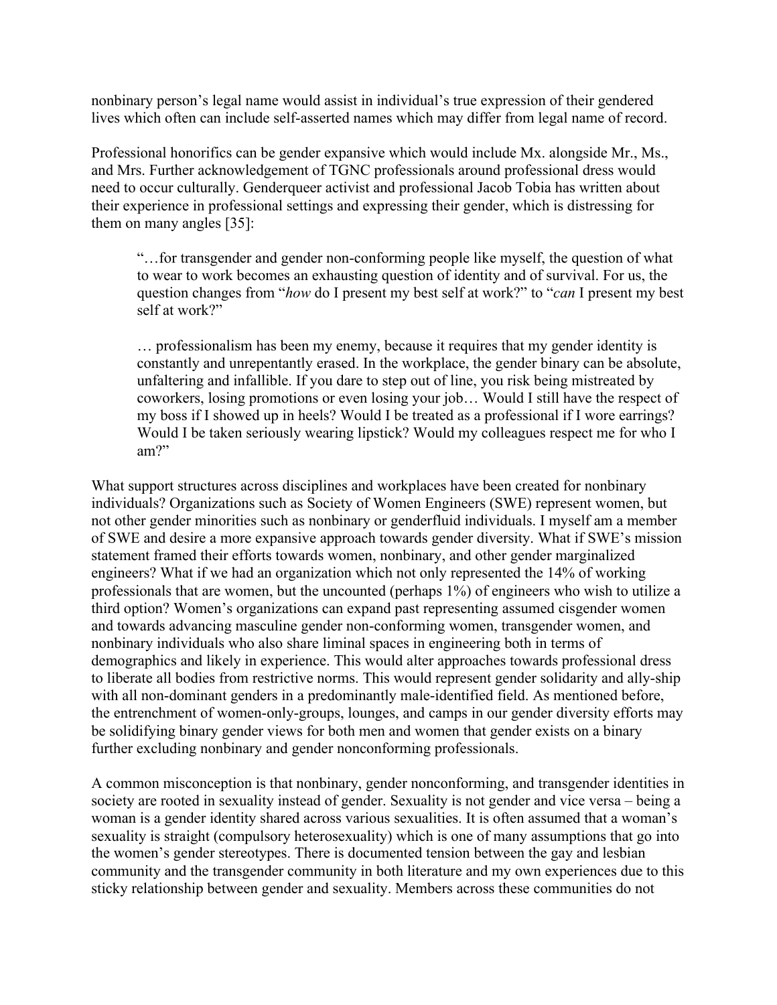nonbinary person's legal name would assist in individual's true expression of their gendered lives which often can include self-asserted names which may differ from legal name of record.

Professional honorifics can be gender expansive which would include Mx. alongside Mr., Ms., and Mrs. Further acknowledgement of TGNC professionals around professional dress would need to occur culturally. Genderqueer activist and professional Jacob Tobia has written about their experience in professional settings and expressing their gender, which is distressing for them on many angles [35]:

"…for transgender and gender non-conforming people like myself, the question of what to wear to work becomes an exhausting question of identity and of survival. For us, the question changes from "*how* do I present my best self at work?" to "*can* I present my best self at work?"

… professionalism has been my enemy, because it requires that my gender identity is constantly and unrepentantly erased. In the workplace, the gender binary can be absolute, unfaltering and infallible. If you dare to step out of line, you risk being mistreated by coworkers, losing promotions or even losing your job… Would I still have the respect of my boss if I showed up in heels? Would I be treated as a professional if I wore earrings? Would I be taken seriously wearing lipstick? Would my colleagues respect me for who I am?"

What support structures across disciplines and workplaces have been created for nonbinary individuals? Organizations such as Society of Women Engineers (SWE) represent women, but not other gender minorities such as nonbinary or genderfluid individuals. I myself am a member of SWE and desire a more expansive approach towards gender diversity. What if SWE's mission statement framed their efforts towards women, nonbinary, and other gender marginalized engineers? What if we had an organization which not only represented the 14% of working professionals that are women, but the uncounted (perhaps 1%) of engineers who wish to utilize a third option? Women's organizations can expand past representing assumed cisgender women and towards advancing masculine gender non-conforming women, transgender women, and nonbinary individuals who also share liminal spaces in engineering both in terms of demographics and likely in experience. This would alter approaches towards professional dress to liberate all bodies from restrictive norms. This would represent gender solidarity and ally-ship with all non-dominant genders in a predominantly male-identified field. As mentioned before, the entrenchment of women-only-groups, lounges, and camps in our gender diversity efforts may be solidifying binary gender views for both men and women that gender exists on a binary further excluding nonbinary and gender nonconforming professionals.

A common misconception is that nonbinary, gender nonconforming, and transgender identities in society are rooted in sexuality instead of gender. Sexuality is not gender and vice versa – being a woman is a gender identity shared across various sexualities. It is often assumed that a woman's sexuality is straight (compulsory heterosexuality) which is one of many assumptions that go into the women's gender stereotypes. There is documented tension between the gay and lesbian community and the transgender community in both literature and my own experiences due to this sticky relationship between gender and sexuality. Members across these communities do not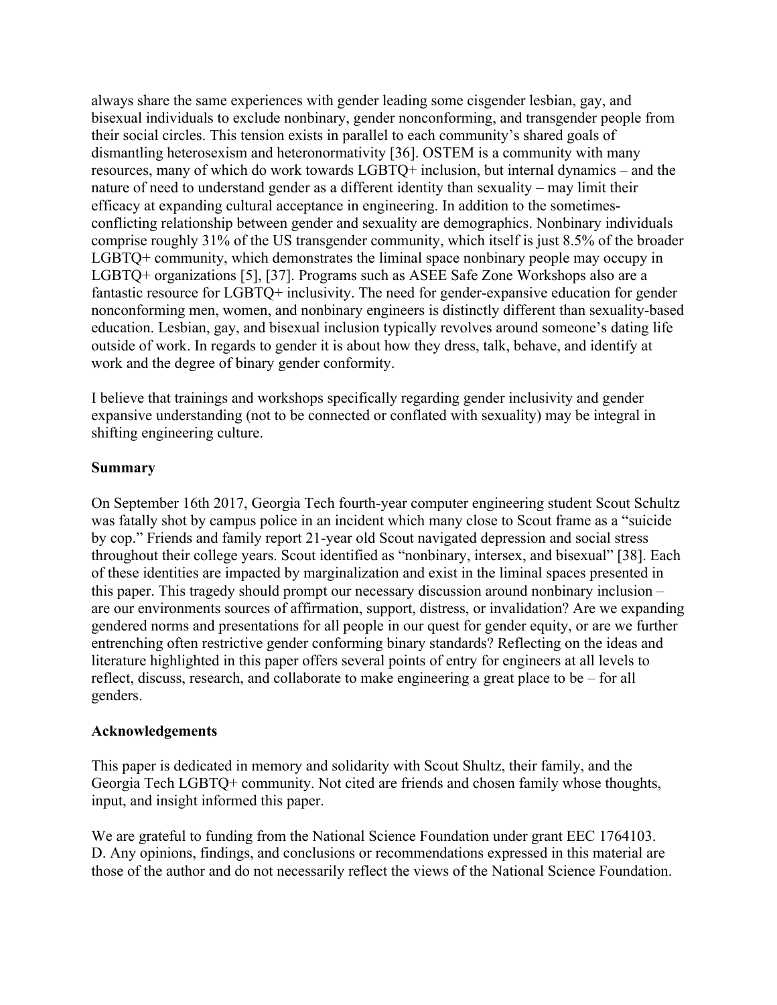always share the same experiences with gender leading some cisgender lesbian, gay, and bisexual individuals to exclude nonbinary, gender nonconforming, and transgender people from their social circles. This tension exists in parallel to each community's shared goals of dismantling heterosexism and heteronormativity [36]. OSTEM is a community with many resources, many of which do work towards LGBTQ+ inclusion, but internal dynamics – and the nature of need to understand gender as a different identity than sexuality – may limit their efficacy at expanding cultural acceptance in engineering. In addition to the sometimesconflicting relationship between gender and sexuality are demographics. Nonbinary individuals comprise roughly 31% of the US transgender community, which itself is just 8.5% of the broader LGBTQ+ community, which demonstrates the liminal space nonbinary people may occupy in LGBTQ+ organizations [5], [37]. Programs such as ASEE Safe Zone Workshops also are a fantastic resource for LGBTQ+ inclusivity. The need for gender-expansive education for gender nonconforming men, women, and nonbinary engineers is distinctly different than sexuality-based education. Lesbian, gay, and bisexual inclusion typically revolves around someone's dating life outside of work. In regards to gender it is about how they dress, talk, behave, and identify at work and the degree of binary gender conformity.

I believe that trainings and workshops specifically regarding gender inclusivity and gender expansive understanding (not to be connected or conflated with sexuality) may be integral in shifting engineering culture.

### **Summary**

On September 16th 2017, Georgia Tech fourth-year computer engineering student Scout Schultz was fatally shot by campus police in an incident which many close to Scout frame as a "suicide by cop." Friends and family report 21-year old Scout navigated depression and social stress throughout their college years. Scout identified as "nonbinary, intersex, and bisexual" [38]. Each of these identities are impacted by marginalization and exist in the liminal spaces presented in this paper. This tragedy should prompt our necessary discussion around nonbinary inclusion – are our environments sources of affirmation, support, distress, or invalidation? Are we expanding gendered norms and presentations for all people in our quest for gender equity, or are we further entrenching often restrictive gender conforming binary standards? Reflecting on the ideas and literature highlighted in this paper offers several points of entry for engineers at all levels to reflect, discuss, research, and collaborate to make engineering a great place to be – for all genders.

#### **Acknowledgements**

This paper is dedicated in memory and solidarity with Scout Shultz, their family, and the Georgia Tech LGBTQ+ community. Not cited are friends and chosen family whose thoughts, input, and insight informed this paper.

We are grateful to funding from the National Science Foundation under grant EEC 1764103. D. Any opinions, findings, and conclusions or recommendations expressed in this material are those of the author and do not necessarily reflect the views of the National Science Foundation.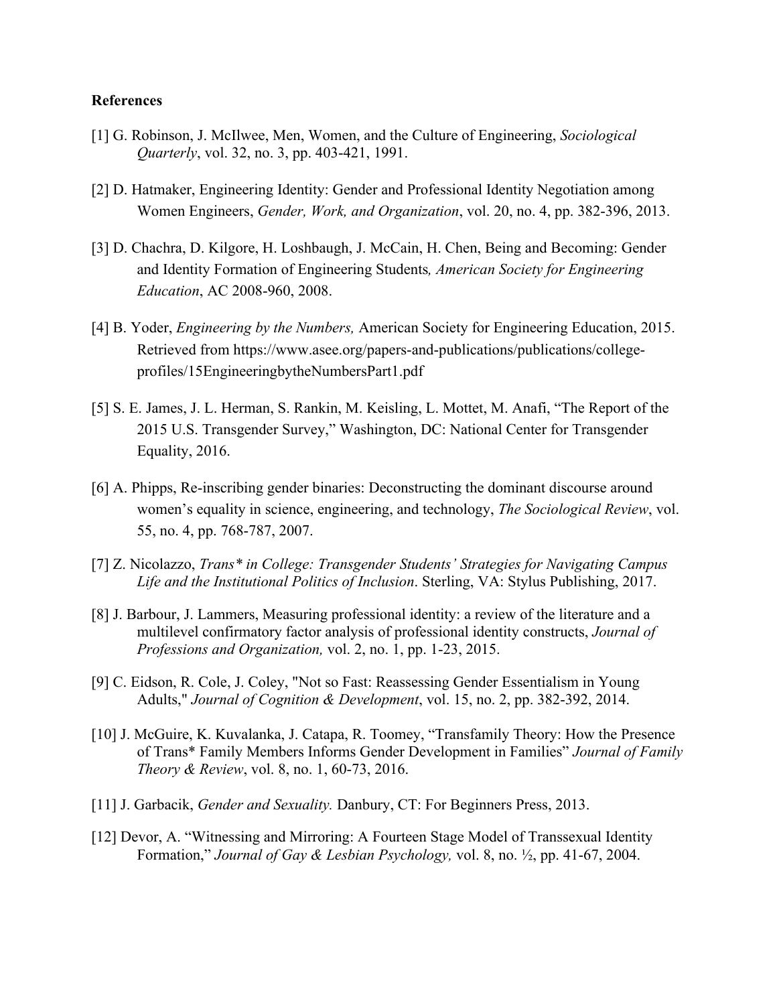#### **References**

- [1] G. Robinson, J. McIlwee, Men, Women, and the Culture of Engineering, *Sociological Quarterly*, vol. 32, no. 3, pp. 403-421, 1991.
- [2] D. Hatmaker, Engineering Identity: Gender and Professional Identity Negotiation among Women Engineers, *Gender, Work, and Organization*, vol. 20, no. 4, pp. 382-396, 2013.
- [3] D. Chachra, D. Kilgore, H. Loshbaugh, J. McCain, H. Chen, Being and Becoming: Gender and Identity Formation of Engineering Students*, American Society for Engineering Education*, AC 2008-960, 2008.
- [4] B. Yoder, *Engineering by the Numbers,* American Society for Engineering Education, 2015. Retrieved from https://www.asee.org/papers-and-publications/publications/collegeprofiles/15EngineeringbytheNumbersPart1.pdf
- [5] S. E. James, J. L. Herman, S. Rankin, M. Keisling, L. Mottet, M. Anafi, "The Report of the 2015 U.S. Transgender Survey," Washington, DC: National Center for Transgender Equality, 2016.
- [6] A. Phipps, Re-inscribing gender binaries: Deconstructing the dominant discourse around women's equality in science, engineering, and technology, *The Sociological Review*, vol. 55, no. 4, pp. 768-787, 2007.
- [7] Z. Nicolazzo, *Trans\* in College: Transgender Students' Strategies for Navigating Campus Life and the Institutional Politics of Inclusion*. Sterling, VA: Stylus Publishing, 2017.
- [8] J. Barbour, J. Lammers, Measuring professional identity: a review of the literature and a multilevel confirmatory factor analysis of professional identity constructs, *Journal of Professions and Organization,* vol. 2, no. 1, pp. 1-23, 2015.
- [9] C. Eidson, R. Cole, J. Coley, "Not so Fast: Reassessing Gender Essentialism in Young Adults," *Journal of Cognition & Development*, vol. 15, no. 2, pp. 382-392, 2014.
- [10] J. McGuire, K. Kuvalanka, J. Catapa, R. Toomey, "Transfamily Theory: How the Presence of Trans\* Family Members Informs Gender Development in Families" *Journal of Family Theory & Review*, vol. 8, no. 1, 60-73, 2016.
- [11] J. Garbacik, *Gender and Sexuality.* Danbury, CT: For Beginners Press, 2013.
- [12] Devor, A. "Witnessing and Mirroring: A Fourteen Stage Model of Transsexual Identity Formation," *Journal of Gay & Lesbian Psychology,* vol. 8, no. ½, pp. 41-67, 2004.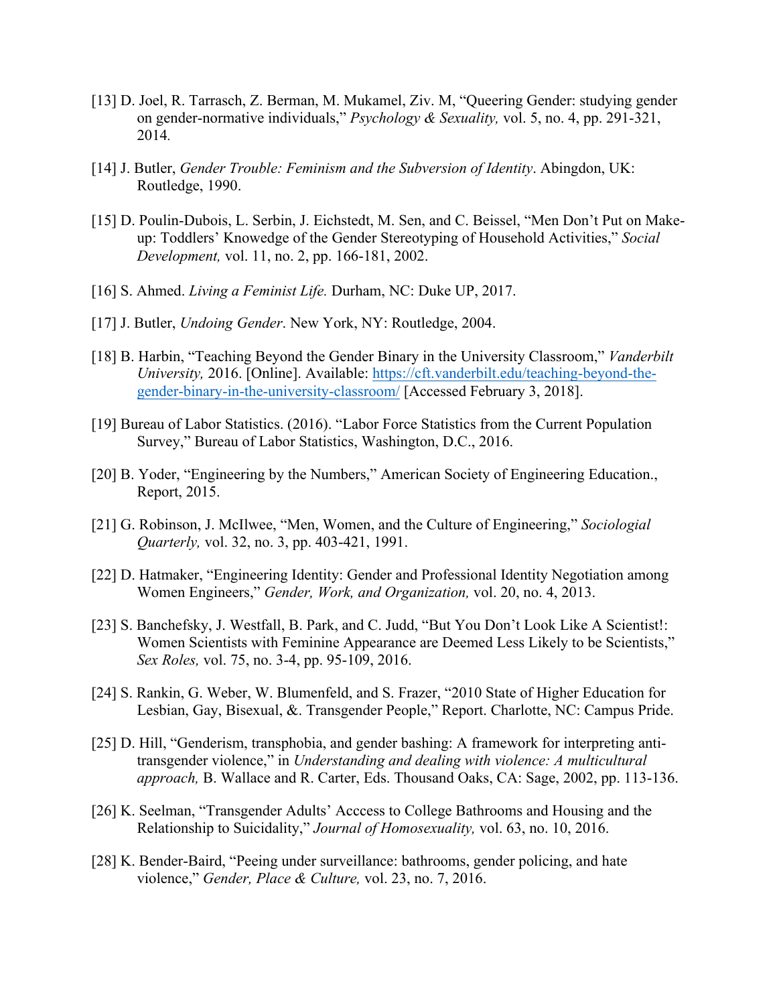- [13] D. Joel, R. Tarrasch, Z. Berman, M. Mukamel, Ziv. M, "Queering Gender: studying gender on gender-normative individuals," *Psychology & Sexuality,* vol. 5, no. 4, pp. 291-321, 2014*.*
- [14] J. Butler, *Gender Trouble: Feminism and the Subversion of Identity*. Abingdon, UK: Routledge, 1990.
- [15] D. Poulin-Dubois, L. Serbin, J. Eichstedt, M. Sen, and C. Beissel, "Men Don't Put on Makeup: Toddlers' Knowedge of the Gender Stereotyping of Household Activities," *Social Development,* vol. 11, no. 2, pp. 166-181, 2002.
- [16] S. Ahmed. *Living a Feminist Life.* Durham, NC: Duke UP, 2017.
- [17] J. Butler, *Undoing Gender*. New York, NY: Routledge, 2004.
- [18] B. Harbin, "Teaching Beyond the Gender Binary in the University Classroom," *Vanderbilt University,* 2016. [Online]. Available: https://cft.vanderbilt.edu/teaching-beyond-thegender-binary-in-the-university-classroom/ [Accessed February 3, 2018].
- [19] Bureau of Labor Statistics. (2016). "Labor Force Statistics from the Current Population Survey," Bureau of Labor Statistics, Washington, D.C., 2016.
- [20] B. Yoder, "Engineering by the Numbers," American Society of Engineering Education., Report, 2015.
- [21] G. Robinson, J. McIlwee, "Men, Women, and the Culture of Engineering," *Sociologial Quarterly,* vol. 32, no. 3, pp. 403-421, 1991.
- [22] D. Hatmaker, "Engineering Identity: Gender and Professional Identity Negotiation among Women Engineers," *Gender, Work, and Organization,* vol. 20, no. 4, 2013.
- [23] S. Banchefsky, J. Westfall, B. Park, and C. Judd, "But You Don't Look Like A Scientist!: Women Scientists with Feminine Appearance are Deemed Less Likely to be Scientists," *Sex Roles,* vol. 75, no. 3-4, pp. 95-109, 2016.
- [24] S. Rankin, G. Weber, W. Blumenfeld, and S. Frazer, "2010 State of Higher Education for Lesbian, Gay, Bisexual, &. Transgender People," Report. Charlotte, NC: Campus Pride.
- [25] D. Hill, "Genderism, transphobia, and gender bashing: A framework for interpreting antitransgender violence," in *Understanding and dealing with violence: A multicultural approach,* B. Wallace and R. Carter, Eds. Thousand Oaks, CA: Sage, 2002, pp. 113-136.
- [26] K. Seelman, "Transgender Adults' Acccess to College Bathrooms and Housing and the Relationship to Suicidality," *Journal of Homosexuality,* vol. 63, no. 10, 2016.
- [28] K. Bender-Baird, "Peeing under surveillance: bathrooms, gender policing, and hate violence," *Gender, Place & Culture,* vol. 23, no. 7, 2016.